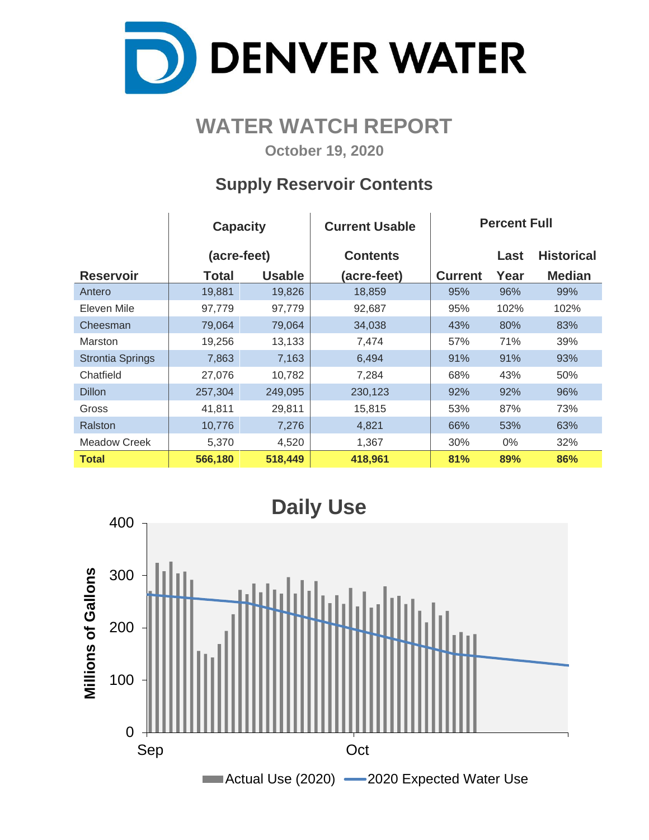

## **WATER WATCH REPORT**

**October 19, 2020**

## **Supply Reservoir Contents**

|                         | <b>Capacity</b> |               | <b>Current Usable</b> | <b>Percent Full</b> |      |                   |  |  |  |
|-------------------------|-----------------|---------------|-----------------------|---------------------|------|-------------------|--|--|--|
|                         | (acre-feet)     |               | <b>Contents</b>       |                     | Last | <b>Historical</b> |  |  |  |
| <b>Reservoir</b>        | <b>Total</b>    | <b>Usable</b> | (acre-feet)           | <b>Current</b>      | Year | <b>Median</b>     |  |  |  |
| Antero                  | 19,881          | 19,826        | 18,859                | 95%                 | 96%  | 99%               |  |  |  |
| Eleven Mile             | 97,779          | 97,779        | 92,687                | 95%                 | 102% | 102%              |  |  |  |
| Cheesman                | 79,064          | 79,064        | 34,038                | 43%                 | 80%  | 83%               |  |  |  |
| <b>Marston</b>          | 19,256          | 13,133        | 7,474                 | 57%                 | 71%  | 39%               |  |  |  |
| <b>Strontia Springs</b> | 7,863           | 7,163         | 6,494                 | 91%                 | 91%  | 93%               |  |  |  |
| Chatfield               | 27,076          | 10,782        | 7,284                 | 68%                 | 43%  | 50%               |  |  |  |
| <b>Dillon</b>           | 257,304         | 249,095       | 230,123               | 92%                 | 92%  | 96%               |  |  |  |
| Gross                   | 41,811          | 29,811        | 15,815                | 53%                 | 87%  | 73%               |  |  |  |
| Ralston                 | 10,776          | 7,276         | 4,821                 | 66%                 | 53%  | 63%               |  |  |  |
| Meadow Creek            | 5,370           | 4,520         | 1,367                 | 30%                 | 0%   | 32%               |  |  |  |
| <b>Total</b>            | 566,180         | 518,449       | 418,961               | 81%                 | 89%  | 86%               |  |  |  |

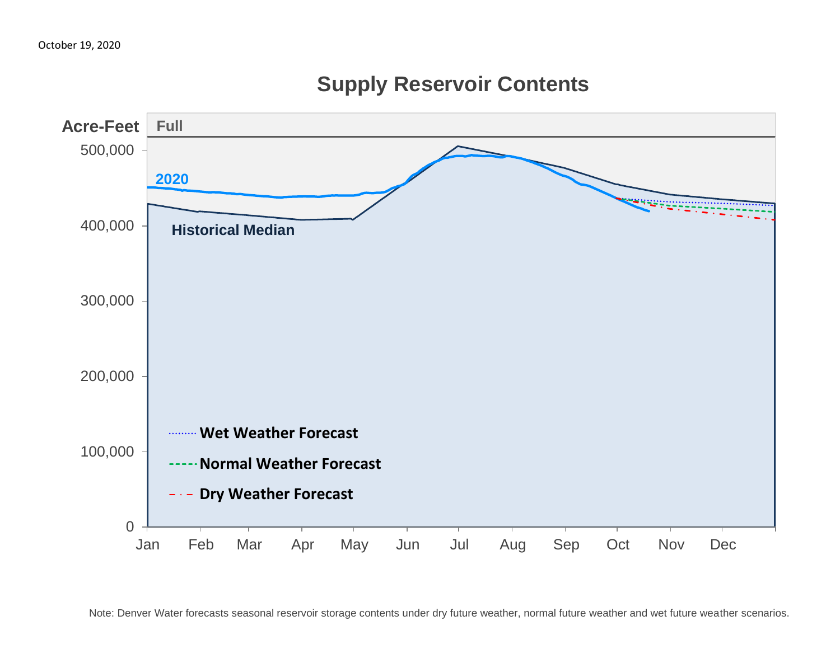

## **Supply Reservoir Contents**

Note: Denver Water forecasts seasonal reservoir storage contents under dry future weather, normal future weather and wet future weather scenarios.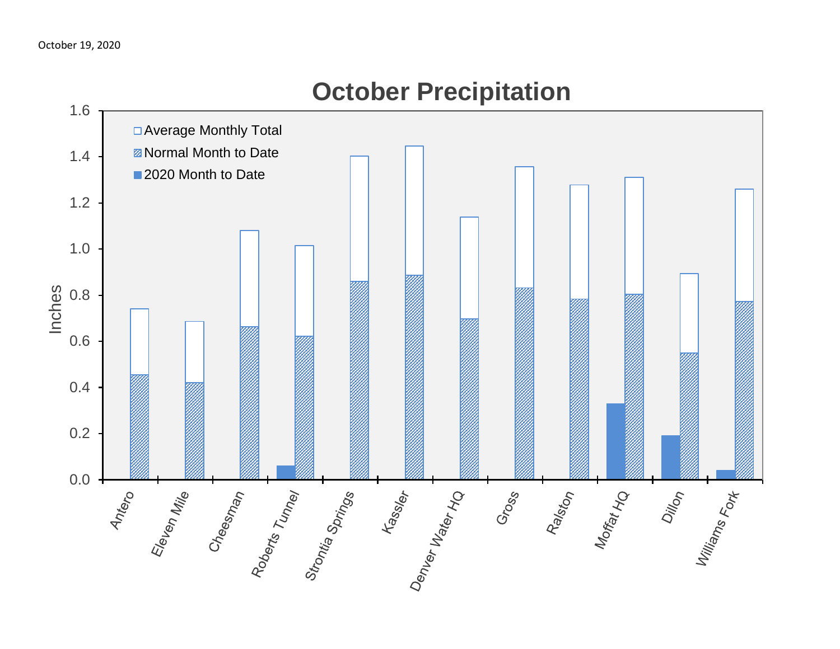

# **October Precipitation**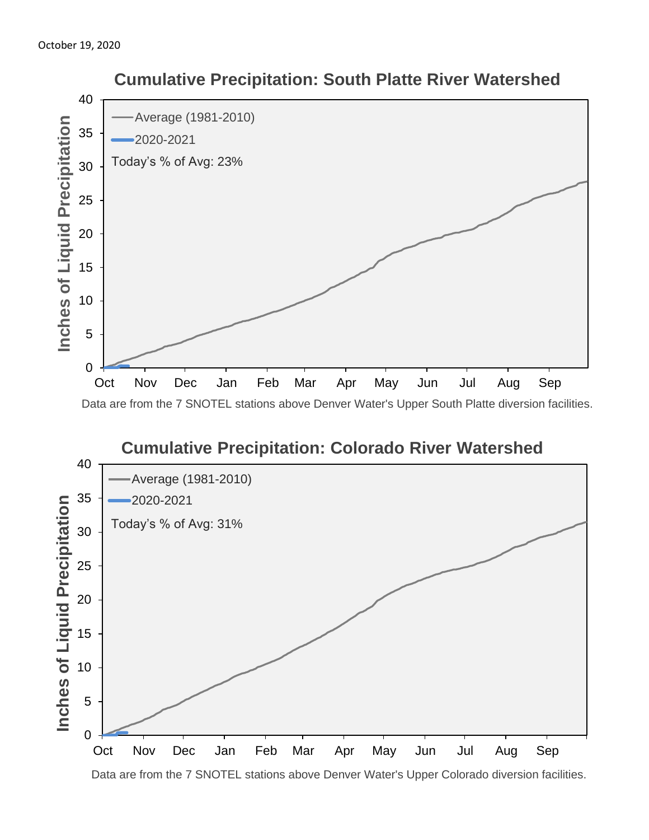

### **Cumulative Precipitation: Colorado River Watershed** 40 Average (1981-2010) 35 2020-2021 Inches of Liquid Precipitation **Inches of Liquid Precipitation** Today's % of Avg: 31% 30 25 20 15 10 5 0 Oct Nov Dec Jan Feb Mar Apr May Jun Jul Aug Sep

 **Cumulative Precipitation: South Platte River Watershed**

Data are from the 7 SNOTEL stations above Denver Water's Upper Colorado diversion facilities.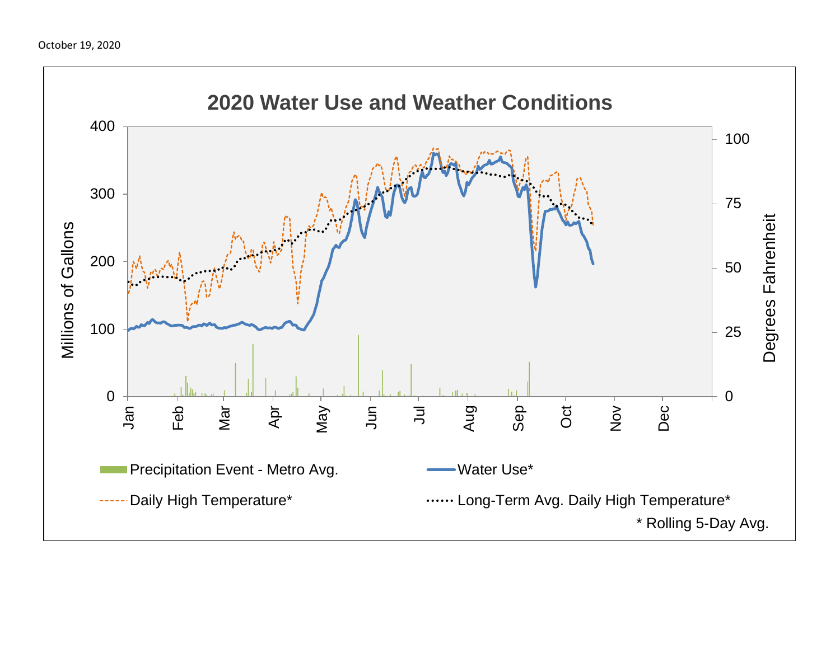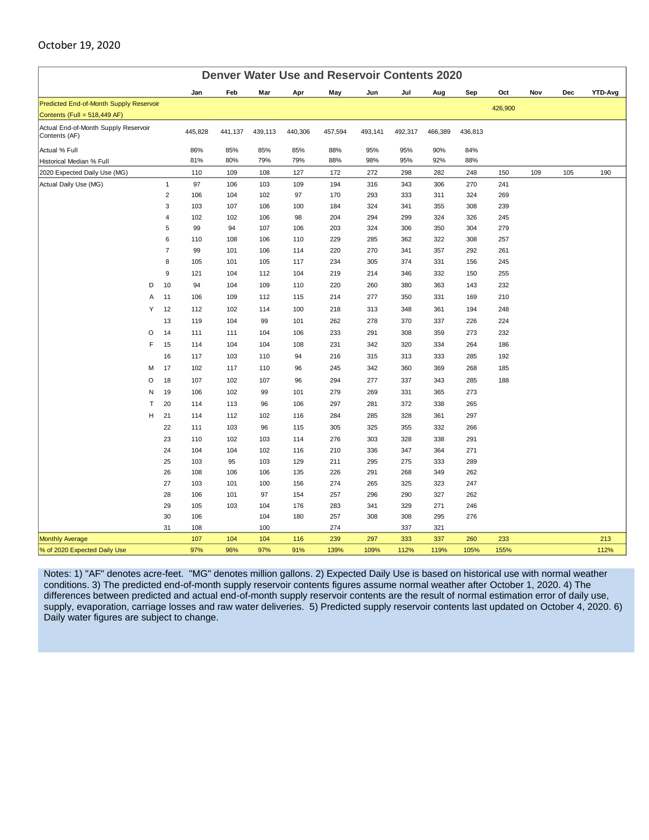#### October 19, 2020

| <b>Denver Water Use and Reservoir Contents 2020</b>   |                         |            |            |           |            |            |            |            |            |            |         |     |     |                |
|-------------------------------------------------------|-------------------------|------------|------------|-----------|------------|------------|------------|------------|------------|------------|---------|-----|-----|----------------|
|                                                       |                         | Jan        | Feb        | Mar       | Apr        | May        | Jun        | Jul        | Aug        | Sep        | Oct     | Nov | Dec | <b>YTD-Avg</b> |
| Predicted End-of-Month Supply Reservoir               |                         |            |            |           |            |            |            |            |            |            | 426,900 |     |     |                |
| Contents (Full = 518,449 AF)                          |                         |            |            |           |            |            |            |            |            |            |         |     |     |                |
| Actual End-of-Month Supply Reservoir<br>Contents (AF) |                         | 445,828    | 441,137    | 439,113   | 440,306    | 457,594    | 493,141    | 492,317    | 466,389    | 436,813    |         |     |     |                |
| Actual % Full                                         |                         | 86%        | 85%        | 85%       | 85%        | 88%        | 95%        | 95%        | 90%        | 84%        |         |     |     |                |
| Historical Median % Full                              |                         | 81%        | 80%        | 79%       | 79%        | 88%        | 98%        | 95%        | 92%        | 88%        |         |     |     |                |
| 2020 Expected Daily Use (MG)                          |                         | 110        | 109        | 108       | 127        | 172        | 272        | 298        | 282        | 248        | 150     | 109 | 105 | 190            |
| Actual Daily Use (MG)                                 | $\mathbf{1}$            | 97         | 106        | 103       | 109        | 194        | 316        | 343        | 306        | 270        | 241     |     |     |                |
|                                                       | $\overline{2}$          | 106        | 104        | 102       | 97         | 170        | 293        | 333        | 311        | 324        | 269     |     |     |                |
|                                                       | 3                       | 103        | 107        | 106       | 100        | 184        | 324        | 341        | 355        | 308        | 239     |     |     |                |
|                                                       | $\overline{\mathbf{4}}$ | 102        | 102        | 106       | 98         | 204        | 294        | 299        | 324        | 326        | 245     |     |     |                |
|                                                       | 5                       | 99         | 94         | 107       | 106        | 203        | 324        | 306        | 350        | 304        | 279     |     |     |                |
|                                                       | 6                       | 110        | 108        | 106       | 110        | 229        | 285        | 362        | 322        | 308        | 257     |     |     |                |
|                                                       | $\overline{7}$          | 99         | 101        | 106       | 114        | 220        | 270        | 341        | 357        | 292        | 261     |     |     |                |
|                                                       | 8                       | 105        | 101        | 105       | 117        | 234        | 305        | 374        | 331        | 156        | 245     |     |     |                |
|                                                       | 9                       | 121        | 104        | 112       | 104        | 219        | 214        | 346        | 332        | 150        | 255     |     |     |                |
| D                                                     | 10                      | 94         | 104        | 109       | 110        | 220        | 260        | 380        | 363        | 143        | 232     |     |     |                |
| A                                                     | 11                      | 106        | 109        | 112       | 115        | 214        | 277        | 350        | 331        | 169        | 210     |     |     |                |
| Y                                                     | 12                      | 112        | 102        | 114       | 100        | 218        | 313        | 348        | 361        | 194        | 248     |     |     |                |
|                                                       | 13                      | 119        | 104        | 99        | 101        | 262        | 278        | 370        | 337        | 226        | 224     |     |     |                |
| O                                                     | 14                      | 111        | 111        | 104       | 106        | 233        | 291        | 308        | 359        | 273        | 232     |     |     |                |
| F                                                     | 15                      | 114        | 104        | 104       | 108        | 231        | 342        | 320        | 334        | 264        | 186     |     |     |                |
|                                                       | 16                      | 117        | 103        | 110       | 94         | 216        | 315        | 313        | 333        | 285        | 192     |     |     |                |
| M                                                     | 17                      | 102        | 117        | 110       | 96         | 245        | 342        | 360        | 369        | 268        | 185     |     |     |                |
| O                                                     | 18                      | 107        | 102        | 107       | 96         | 294        | 277        | 337        | 343        | 285        | 188     |     |     |                |
| N                                                     | 19                      | 106        | 102        | 99        | 101        | 279        | 269        | 331        | 365        | 273        |         |     |     |                |
| T                                                     | 20                      | 114        | 113        | 96        | 106        | 297        | 281        | 372        | 338        | 265        |         |     |     |                |
| H                                                     | 21                      | 114        | 112        | 102       | 116        | 284        | 285        | 328        | 361        | 297        |         |     |     |                |
|                                                       | 22                      | 111        | 103        | 96        | 115        | 305        | 325        | 355        | 332        | 266        |         |     |     |                |
|                                                       | 23                      | 110        | 102        | 103       | 114        | 276        | 303        | 328        | 338        | 291        |         |     |     |                |
|                                                       | 24                      | 104        | 104        | 102       | 116        | 210        | 336        | 347        | 364        | 271        |         |     |     |                |
|                                                       | 25                      | 103        | 95         | 103       | 129        | 211        | 295        | 275        | 333        | 289        |         |     |     |                |
|                                                       | 26                      | 108        | 106        | 106       | 135        | 226        | 291        | 268        | 349        | 262        |         |     |     |                |
|                                                       | 27<br>28                | 103<br>106 | 101<br>101 | 100<br>97 | 156<br>154 | 274<br>257 | 265<br>296 | 325<br>290 | 323<br>327 | 247<br>262 |         |     |     |                |
|                                                       | 29                      | 105        | 103        | 104       | 176        | 283        | 341        | 329        | 271        | 246        |         |     |     |                |
|                                                       | 30                      | 106        |            | 104       | 180        | 257        | 308        | 308        | 295        | 276        |         |     |     |                |
|                                                       | 31                      | 108        |            | 100       |            | 274        |            | 337        | 321        |            |         |     |     |                |
| <b>Monthly Average</b>                                |                         | 107        | 104        | 104       | 116        | 239        | 297        | 333        | 337        | 260        | 233     |     |     | 213            |
| % of 2020 Expected Daily Use                          |                         | 97%        | 96%        | 97%       | 91%        | 139%       | 109%       | 112%       | 119%       | 105%       | 155%    |     |     | 112%           |

Notes: 1) "AF" denotes acre-feet. "MG" denotes million gallons. 2) Expected Daily Use is based on historical use with normal weather conditions. 3) The predicted end-of-month supply reservoir contents figures assume normal weather after October 1, 2020. 4) The differences between predicted and actual end-of-month supply reservoir contents are the result of normal estimation error of daily use, supply, evaporation, carriage losses and raw water deliveries. 5) Predicted supply reservoir contents last updated on October 4, 2020. 6) Daily water figures are subject to change.